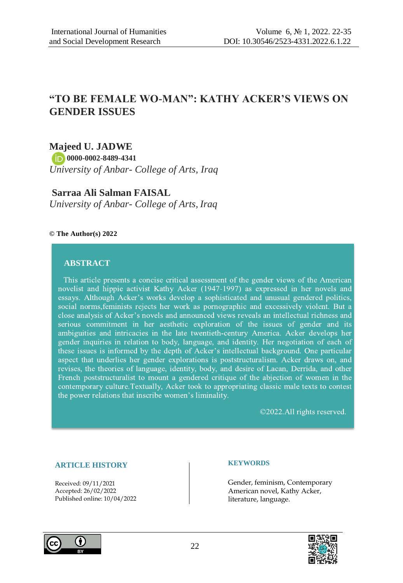# **"TO BE FEMALE WO-MAN": KATHY ACKER'S VIEWS ON GENDER ISSUES**

# **Majeed U. JADWE**

 **0000-0002-8489-4341**

*University of Anbar- College of Arts, Iraq*

## **Sarraa Ali Salman FAISAL**

*University of Anbar- College of Arts, Iraq*

### **© The Author(s) 2022**

## **ABSTRACT**

This article presents a concise critical assessment of the gender views of the American novelist and hippie activist Kathy Acker (1947-1997) as expressed in her novels and essays. Although Acker's works develop a sophisticated and unusual gendered politics, social norms, feminists rejects her work as pornographic and excessively violent. But a close analysis of Acker's novels and announced views reveals an intellectual richness and serious commitment in her aesthetic exploration of the issues of gender and its ambiguities and intricacies in the late twentieth-century America. Acker develops her gender inquiries in relation to body, language, and identity. Her negotiation of each of these issues is informed by the depth of Acker's intellectual background. One particular aspect that underlies her gender explorations is poststructuralism. Acker draws on, and revises, the theories of language, identity, body, and desire of Lacan, Derrida, and other French poststructuralist to mount a gendered critique of the abjection of women in the contemporary culture. Textually, Acker took to appropriating classic male texts to contest the power relations that inscribe women's liminality.

©2022.All rights reserved.

### **ARTICLE HISTORY**

Received: 09/11/2021 Accepted: 26/02/2022 Published online: 10/04/2022

#### **KEYWORDS**

Gender, feminism, Contemporary American novel, Kathy Acker, literature, language.



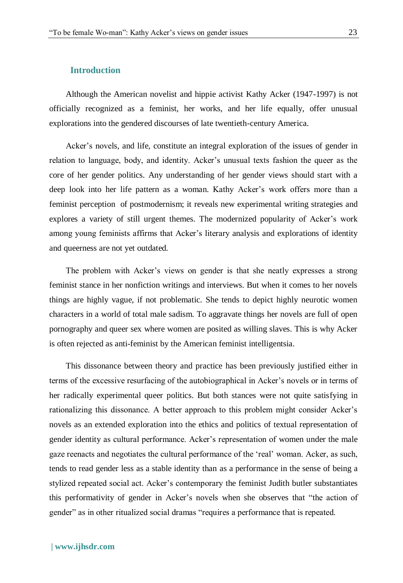#### **Introduction**

Although the American novelist and hippie activist Kathy Acker (1947-1997) is not officially recognized as a feminist, her works, and her life equally, offer unusual explorations into the gendered discourses of late twentieth-century America.

Acker's novels, and life, constitute an integral exploration of the issues of gender in relation to language, body, and identity. Acker's unusual texts fashion the queer as the core of her gender politics. Any understanding of her gender views should start with a deep look into her life pattern as a woman. Kathy Acker's work offers more than a feminist perception of postmodernism; it reveals new experimental writing strategies and explores a variety of still urgent themes. The modernized popularity of Acker's work among young feminists affirms that Acker's literary analysis and explorations of identity and queerness are not yet outdated.

The problem with Acker's views on gender is that she neatly expresses a strong feminist stance in her nonfiction writings and interviews. But when it comes to her novels things are highly vague, if not problematic. She tends to depict highly neurotic women characters in a world of total male sadism. To aggravate things her novels are full of open pornography and queer sex where women are posited as willing slaves. This is why Acker is often rejected as anti-feminist by the American feminist intelligentsia.

This dissonance between theory and practice has been previously justified either in terms of the excessive resurfacing of the autobiographical in Acker's novels or in terms of her radically experimental queer politics. But both stances were not quite satisfying in rationalizing this dissonance. A better approach to this problem might consider Acker's novels as an extended exploration into the ethics and politics of textual representation of gender identity as cultural performance. Acker's representation of women under the male gaze reenacts and negotiates the cultural performance of the 'real' woman. Acker, as such, tends to read gender less as a stable identity than as a performance in the sense of being a stylized repeated social act. Acker's contemporary the feminist Judith butler substantiates this performativity of gender in Acker's novels when she observes that "the action of gender" as in other ritualized social dramas "requires a performance that is repeated.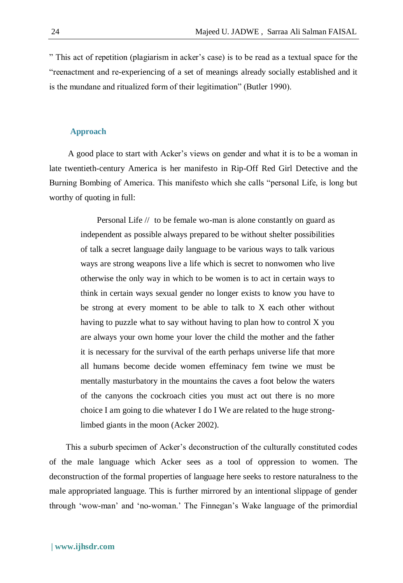" This act of repetition (plagiarism in acker's case) is to be read as a textual space for the "reenactment and re-experiencing of a set of meanings already socially established and it is the mundane and ritualized form of their legitimation" (Butler 1990).

#### **Approach**

A good place to start with Acker's views on gender and what it is to be a woman in late twentieth-century America is her manifesto in Rip-Off Red Girl Detective and the Burning Bombing of America. This manifesto which she calls "personal Life, is long but worthy of quoting in full:

Personal Life // to be female wo-man is alone constantly on guard as independent as possible always prepared to be without shelter possibilities of talk a secret language daily language to be various ways to talk various ways are strong weapons live a life which is secret to nonwomen who live otherwise the only way in which to be women is to act in certain ways to think in certain ways sexual gender no longer exists to know you have to be strong at every moment to be able to talk to X each other without having to puzzle what to say without having to plan how to control X you are always your own home your lover the child the mother and the father it is necessary for the survival of the earth perhaps universe life that more all humans become decide women effeminacy fem twine we must be mentally masturbatory in the mountains the caves a foot below the waters of the canyons the cockroach cities you must act out there is no more choice I am going to die whatever I do I We are related to the huge stronglimbed giants in the moon (Acker 2002).

This a suburb specimen of Acker's deconstruction of the culturally constituted codes of the male language which Acker sees as a tool of oppression to women. The deconstruction of the formal properties of language here seeks to restore naturalness to the male appropriated language. This is further mirrored by an intentional slippage of gender through 'wow-man' and 'no-woman.' The Finnegan's Wake language of the primordial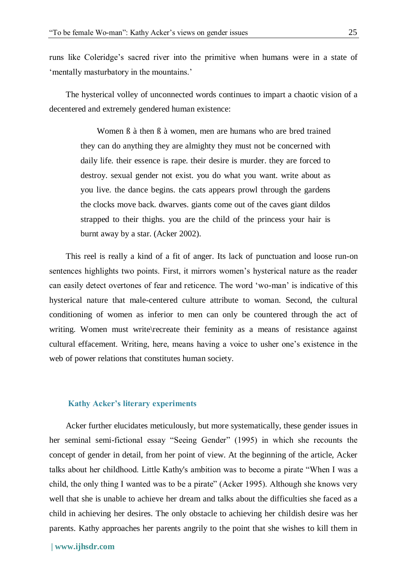runs like Coleridge's sacred river into the primitive when humans were in a state of 'mentally masturbatory in the mountains.'

The hysterical volley of unconnected words continues to impart a chaotic vision of a decentered and extremely gendered human existence:

> Women ß à then ß à women, men are humans who are bred trained they can do anything they are almighty they must not be concerned with daily life. their essence is rape. their desire is murder. they are forced to destroy. sexual gender not exist. you do what you want. write about as you live. the dance begins. the cats appears prowl through the gardens the clocks move back. dwarves. giants come out of the caves giant dildos strapped to their thighs. you are the child of the princess your hair is burnt away by a star. (Acker 2002).

This reel is really a kind of a fit of anger. Its lack of punctuation and loose run-on sentences highlights two points. First, it mirrors women's hysterical nature as the reader can easily detect overtones of fear and reticence. The word 'wo-man' is indicative of this hysterical nature that male-centered culture attribute to woman. Second, the cultural conditioning of women as inferior to men can only be countered through the act of writing. Women must write\recreate their feminity as a means of resistance against cultural effacement. Writing, here, means having a voice to usher one's existence in the web of power relations that constitutes human society.

#### **Kathy Acker's literary experiments**

Acker further elucidates meticulously, but more systematically, these gender issues in her seminal semi-fictional essay "Seeing Gender" (1995) in which she recounts the concept of gender in detail, from her point of view. At the beginning of the article, Acker talks about her childhood. Little Kathy's ambition was to become a pirate "When I was a child, the only thing I wanted was to be a pirate" (Acker 1995). Although she knows very well that she is unable to achieve her dream and talks about the difficulties she faced as a child in achieving her desires. The only obstacle to achieving her childish desire was her parents. Kathy approaches her parents angrily to the point that she wishes to kill them in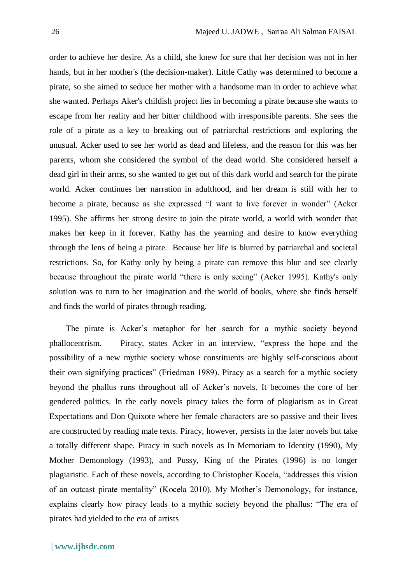order to achieve her desire. As a child, she knew for sure that her decision was not in her hands, but in her mother's (the decision-maker). Little Cathy was determined to become a pirate, so she aimed to seduce her mother with a handsome man in order to achieve what she wanted. Perhaps Aker's childish project lies in becoming a pirate because she wants to escape from her reality and her bitter childhood with irresponsible parents. She sees the role of a pirate as a key to breaking out of patriarchal restrictions and exploring the unusual. Acker used to see her world as dead and lifeless, and the reason for this was her parents, whom she considered the symbol of the dead world. She considered herself a dead girl in their arms, so she wanted to get out of this dark world and search for the pirate world. Acker continues her narration in adulthood, and her dream is still with her to become a pirate, because as she expressed "I want to live forever in wonder" (Acker 1995). She affirms her strong desire to join the pirate world, a world with wonder that makes her keep in it forever. Kathy has the yearning and desire to know everything through the lens of being a pirate. Because her life is blurred by patriarchal and societal restrictions. So, for Kathy only by being a pirate can remove this blur and see clearly because throughout the pirate world "there is only seeing" (Acker 1995). Kathy's only solution was to turn to her imagination and the world of books, where she finds herself and finds the world of pirates through reading.

The pirate is Acker's metaphor for her search for a mythic society beyond phallocentrism. Piracy, states Acker in an interview, "express the hope and the possibility of a new mythic society whose constituents are highly self-conscious about their own signifying practices" (Friedman 1989). Piracy as a search for a mythic society beyond the phallus runs throughout all of Acker's novels. It becomes the core of her gendered politics. In the early novels piracy takes the form of plagiarism as in Great Expectations and Don Quixote where her female characters are so passive and their lives are constructed by reading male texts. Piracy, however, persists in the later novels but take a totally different shape. Piracy in such novels as In Memoriam to Identity (1990), My Mother Demonology (1993), and Pussy, King of the Pirates (1996) is no longer plagiaristic. Each of these novels, according to Christopher Kocela, "addresses this vision of an outcast pirate mentality" (Kocela 2010). My Mother's Demonology, for instance, explains clearly how piracy leads to a mythic society beyond the phallus: "The era of pirates had yielded to the era of artists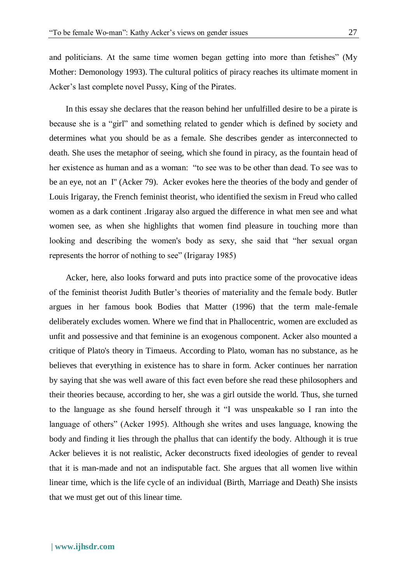and politicians. At the same time women began getting into more than fetishes" (My Mother: Demonology 1993). The cultural politics of piracy reaches its ultimate moment in Acker's last complete novel Pussy, King of the Pirates.

In this essay she declares that the reason behind her unfulfilled desire to be a pirate is because she is a "girl" and something related to gender which is defined by society and determines what you should be as a female. She describes gender as interconnected to death. She uses the metaphor of seeing, which she found in piracy, as the fountain head of her existence as human and as a woman: "to see was to be other than dead. To see was to be an eye, not an I'' (Acker 79). Acker evokes here the theories of the body and gender of Louis Irigaray, the French feminist theorist, who identified the sexism in Freud who called women as a dark continent .Irigaray also argued the difference in what men see and what women see, as when she highlights that women find pleasure in touching more than looking and describing the women's body as sexy, she said that "her sexual organ represents the horror of nothing to see" (Irigaray 1985)

Acker, here, also looks forward and puts into practice some of the provocative ideas of the feminist theorist Judith Butler's theories of materiality and the female body. Butler argues in her famous book Bodies that Matter (1996) that the term male-female deliberately excludes women. Where we find that in Phallocentric, women are excluded as unfit and possessive and that feminine is an exogenous component. Acker also mounted a critique of Plato's theory in Timaeus. According to Plato, woman has no substance, as he believes that everything in existence has to share in form. Acker continues her narration by saying that she was well aware of this fact even before she read these philosophers and their theories because, according to her, she was a girl outside the world. Thus, she turned to the language as she found herself through it "I was unspeakable so I ran into the language of others" (Acker 1995). Although she writes and uses language, knowing the body and finding it lies through the phallus that can identify the body. Although it is true Acker believes it is not realistic, Acker deconstructs fixed ideologies of gender to reveal that it is man-made and not an indisputable fact. She argues that all women live within linear time, which is the life cycle of an individual (Birth, Marriage and Death) She insists that we must get out of this linear time.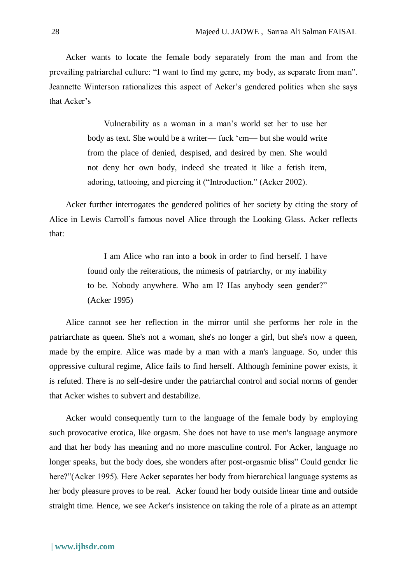Acker wants to locate the female body separately from the man and from the prevailing patriarchal culture: "I want to find my genre, my body, as separate from man". Jeannette Winterson rationalizes this aspect of Acker's gendered politics when she says that Acker's

> Vulnerability as a woman in a man's world set her to use her body as text. She would be a writer— fuck 'em— but she would write from the place of denied, despised, and desired by men. She would not deny her own body, indeed she treated it like a fetish item, adoring, tattooing, and piercing it ("Introduction." (Acker 2002).

Acker further interrogates the gendered politics of her society by citing the story of Alice in Lewis Carroll's famous novel Alice through the Looking Glass. Acker reflects that:

> I am Alice who ran into a book in order to find herself. I have found only the reiterations, the mimesis of patriarchy, or my inability to be. Nobody anywhere. Who am I? Has anybody seen gender?" (Acker 1995)

Alice cannot see her reflection in the mirror until she performs her role in the patriarchate as queen. She's not a woman, she's no longer a girl, but she's now a queen, made by the empire. Alice was made by a man with a man's language. So, under this oppressive cultural regime, Alice fails to find herself. Although feminine power exists, it is refuted. There is no self-desire under the patriarchal control and social norms of gender that Acker wishes to subvert and destabilize.

Acker would consequently turn to the language of the female body by employing such provocative erotica, like orgasm. She does not have to use men's language anymore and that her body has meaning and no more masculine control. For Acker, language no longer speaks, but the body does, she wonders after post-orgasmic bliss" Could gender lie here?"(Acker 1995). Here Acker separates her body from hierarchical language systems as her body pleasure proves to be real. Acker found her body outside linear time and outside straight time. Hence, we see Acker's insistence on taking the role of a pirate as an attempt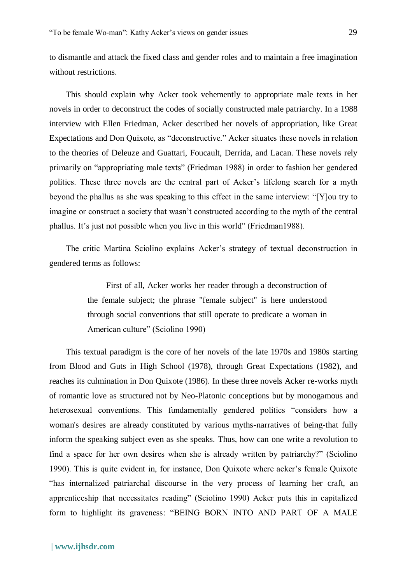to dismantle and attack the fixed class and gender roles and to maintain a free imagination without restrictions.

This should explain why Acker took vehemently to appropriate male texts in her novels in order to deconstruct the codes of socially constructed male patriarchy. In a 1988 interview with Ellen Friedman, Acker described her novels of appropriation, like Great Expectations and Don Quixote, as "deconstructive." Acker situates these novels in relation to the theories of Deleuze and Guattari, Foucault, Derrida, and Lacan. These novels rely primarily on "appropriating male texts" (Friedman 1988) in order to fashion her gendered politics. These three novels are the central part of Acker's lifelong search for a myth beyond the phallus as she was speaking to this effect in the same interview: "[Y]ou try to imagine or construct a society that wasn't constructed according to the myth of the central phallus. It's just not possible when you live in this world" (Friedman1988).

The critic Martina Sciolino explains Acker's strategy of textual deconstruction in gendered terms as follows:

> First of all, Acker works her reader through a deconstruction of the female subject; the phrase "female subject" is here understood through social conventions that still operate to predicate a woman in American culture" (Sciolino 1990)

This textual paradigm is the core of her novels of the late 1970s and 1980s starting from Blood and Guts in High School (1978), through Great Expectations (1982), and reaches its culmination in Don Quixote (1986). In these three novels Acker re-works myth of romantic love as structured not by Neo-Platonic conceptions but by monogamous and heterosexual conventions. This fundamentally gendered politics "considers how a woman's desires are already constituted by various myths-narratives of being-that fully inform the speaking subject even as she speaks. Thus, how can one write a revolution to find a space for her own desires when she is already written by patriarchy?" (Sciolino 1990). This is quite evident in, for instance, Don Quixote where acker's female Quixote "has internalized patriarchal discourse in the very process of learning her craft, an apprenticeship that necessitates reading" (Sciolino 1990) Acker puts this in capitalized form to highlight its graveness: "BEING BORN INTO AND PART OF A MALE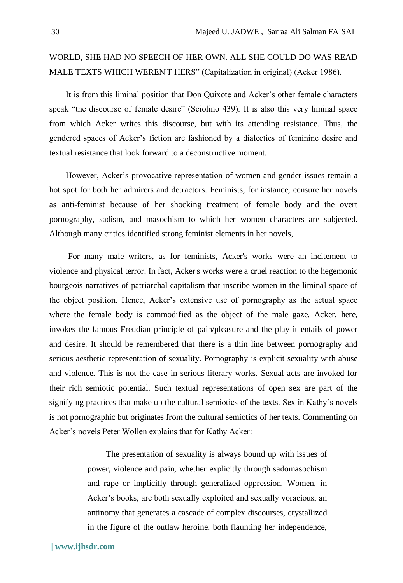# WORLD, SHE HAD NO SPEECH OF HER OWN. ALL SHE COULD DO WAS READ MALE TEXTS WHICH WEREN'T HERS" (Capitalization in original) (Acker 1986).

It is from this liminal position that Don Quixote and Acker's other female characters speak "the discourse of female desire" (Sciolino 439). It is also this very liminal space from which Acker writes this discourse, but with its attending resistance. Thus, the gendered spaces of Acker's fiction are fashioned by a dialectics of feminine desire and textual resistance that look forward to a deconstructive moment.

However, Acker's provocative representation of women and gender issues remain a hot spot for both her admirers and detractors. Feminists, for instance, censure her novels as anti-feminist because of her shocking treatment of female body and the overt pornography, sadism, and masochism to which her women characters are subjected. Although many critics identified strong feminist elements in her novels,

For many male writers, as for feminists, Acker's works were an incitement to violence and physical terror. In fact, Acker's works were a cruel reaction to the hegemonic bourgeois narratives of patriarchal capitalism that inscribe women in the liminal space of the object position. Hence, Acker's extensive use of pornography as the actual space where the female body is commodified as the object of the male gaze. Acker, here, invokes the famous Freudian principle of pain/pleasure and the play it entails of power and desire. It should be remembered that there is a thin line between pornography and serious aesthetic representation of sexuality. Pornography is explicit sexuality with abuse and violence. This is not the case in serious literary works. Sexual acts are invoked for their rich semiotic potential. Such textual representations of open sex are part of the signifying practices that make up the cultural semiotics of the texts. Sex in Kathy's novels is not pornographic but originates from the cultural semiotics of her texts. Commenting on Acker's novels Peter Wollen explains that for Kathy Acker:

> The presentation of sexuality is always bound up with issues of power, violence and pain, whether explicitly through sadomasochism and rape or implicitly through generalized oppression. Women, in Acker's books, are both sexually exploited and sexually voracious, an antinomy that generates a cascade of complex discourses, crystallized in the figure of the outlaw heroine, both flaunting her independence,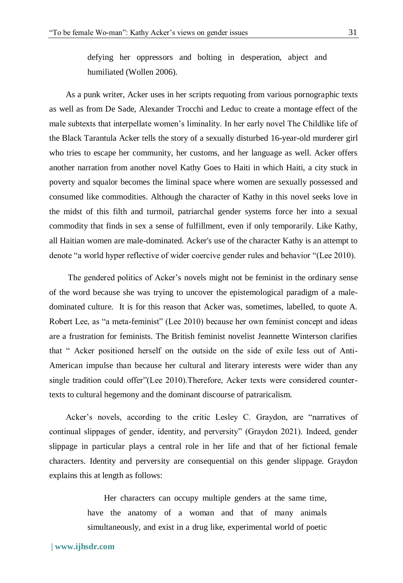defying her oppressors and bolting in desperation, abject and humiliated (Wollen 2006).

As a punk writer, Acker uses in her scripts requoting from various pornographic texts as well as from De Sade, Alexander Trocchi and Leduc to create a montage effect of the male subtexts that interpellate women's liminality. In her early novel The Childlike life of the Black Tarantula Acker tells the story of a sexually disturbed 16-year-old murderer girl who tries to escape her community, her customs, and her language as well. Acker offers another narration from another novel Kathy Goes to Haiti in which Haiti, a city stuck in poverty and squalor becomes the liminal space where women are sexually possessed and consumed like commodities. Although the character of Kathy in this novel seeks love in the midst of this filth and turmoil, patriarchal gender systems force her into a sexual commodity that finds in sex a sense of fulfillment, even if only temporarily. Like Kathy, all Haitian women are male-dominated. Acker's use of the character Kathy is an attempt to denote "a world hyper reflective of wider coercive gender rules and behavior "(Lee 2010).

The gendered politics of Acker's novels might not be feminist in the ordinary sense of the word because she was trying to uncover the epistemological paradigm of a maledominated culture. It is for this reason that Acker was, sometimes, labelled, to quote A. Robert Lee, as "a meta-feminist" (Lee 2010) because her own feminist concept and ideas are a frustration for feminists. The British feminist novelist Jeannette Winterson clarifies that " Acker positioned herself on the outside on the side of exile less out of Anti-American impulse than because her cultural and literary interests were wider than any single tradition could offer"(Lee 2010).Therefore, Acker texts were considered countertexts to cultural hegemony and the dominant discourse of patraricalism.

Acker's novels, according to the critic Lesley C. Graydon, are "narratives of continual slippages of gender, identity, and perversity" (Graydon 2021). Indeed, gender slippage in particular plays a central role in her life and that of her fictional female characters. Identity and perversity are consequential on this gender slippage. Graydon explains this at length as follows:

> Her characters can occupy multiple genders at the same time, have the anatomy of a woman and that of many animals simultaneously, and exist in a drug like, experimental world of poetic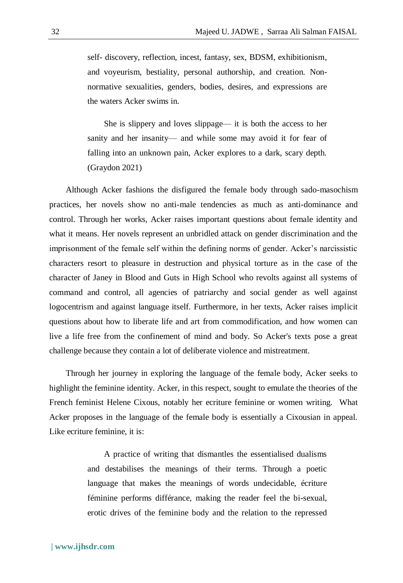self- discovery, reflection, incest, fantasy, sex, BDSM, exhibitionism, and voyeurism, bestiality, personal authorship, and creation. Nonnormative sexualities, genders, bodies, desires, and expressions are the waters Acker swims in.

She is slippery and loves slippage— it is both the access to her sanity and her insanity— and while some may avoid it for fear of falling into an unknown pain, Acker explores to a dark, scary depth. (Graydon 2021)

Although Acker fashions the disfigured the female body through sado-masochism practices, her novels show no anti-male tendencies as much as anti-dominance and control. Through her works, Acker raises important questions about female identity and what it means. Her novels represent an unbridled attack on gender discrimination and the imprisonment of the female self within the defining norms of gender. Acker's narcissistic characters resort to pleasure in destruction and physical torture as in the case of the character of Janey in Blood and Guts in High School who revolts against all systems of command and control, all agencies of patriarchy and social gender as well against logocentrism and against language itself. Furthermore, in her texts, Acker raises implicit questions about how to liberate life and art from commodification, and how women can live a life free from the confinement of mind and body. So Acker's texts pose a great challenge because they contain a lot of deliberate violence and mistreatment.

Through her journey in exploring the language of the female body, Acker seeks to highlight the feminine identity. Acker, in this respect, sought to emulate the theories of the French feminist Helene Cixous, notably her ecriture feminine or women writing. What Acker proposes in the language of the female body is essentially a Cixousian in appeal. Like ecriture feminine, it is:

> A practice of writing that dismantles the essentialised dualisms and destabilises the meanings of their terms. Through a poetic language that makes the meanings of words undecidable, écriture féminine performs différance, making the reader feel the bi-sexual, erotic drives of the feminine body and the relation to the repressed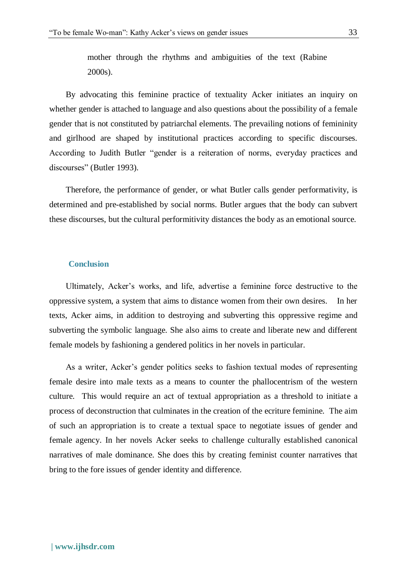mother through the rhythms and ambiguities of the text (Rabine 2000s).

By advocating this feminine practice of textuality Acker initiates an inquiry on whether gender is attached to language and also questions about the possibility of a female gender that is not constituted by patriarchal elements. The prevailing notions of femininity and girlhood are shaped by institutional practices according to specific discourses. According to Judith Butler "gender is a reiteration of norms, everyday practices and discourses" (Butler 1993).

Therefore, the performance of gender, or what Butler calls gender performativity, is determined and pre-established by social norms. Butler argues that the body can subvert these discourses, but the cultural performitivity distances the body as an emotional source.

#### **Conclusion**

Ultimately, Acker's works, and life, advertise a feminine force destructive to the oppressive system, a system that aims to distance women from their own desires. In her texts, Acker aims, in addition to destroying and subverting this oppressive regime and subverting the symbolic language. She also aims to create and liberate new and different female models by fashioning a gendered politics in her novels in particular.

As a writer, Acker's gender politics seeks to fashion textual modes of representing female desire into male texts as a means to counter the phallocentrism of the western culture. This would require an act of textual appropriation as a threshold to initiate a process of deconstruction that culminates in the creation of the ecriture feminine. The aim of such an appropriation is to create a textual space to negotiate issues of gender and female agency. In her novels Acker seeks to challenge culturally established canonical narratives of male dominance. She does this by creating feminist counter narratives that bring to the fore issues of gender identity and difference.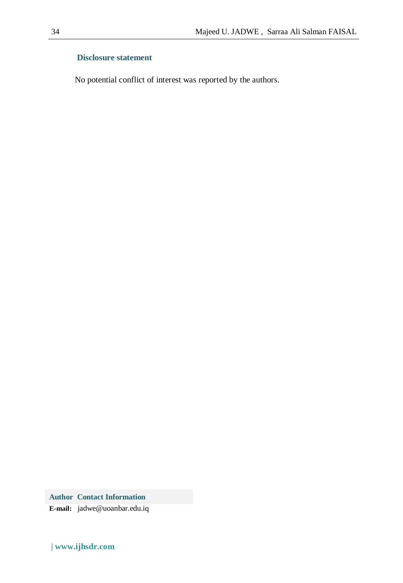### **Disclosure statement**

No potential conflict of interest was reported by the authors.

**Author Contact Information E-mail:** jadwe@uoanbar.edu.iq

**| www.ijhsdr.com**